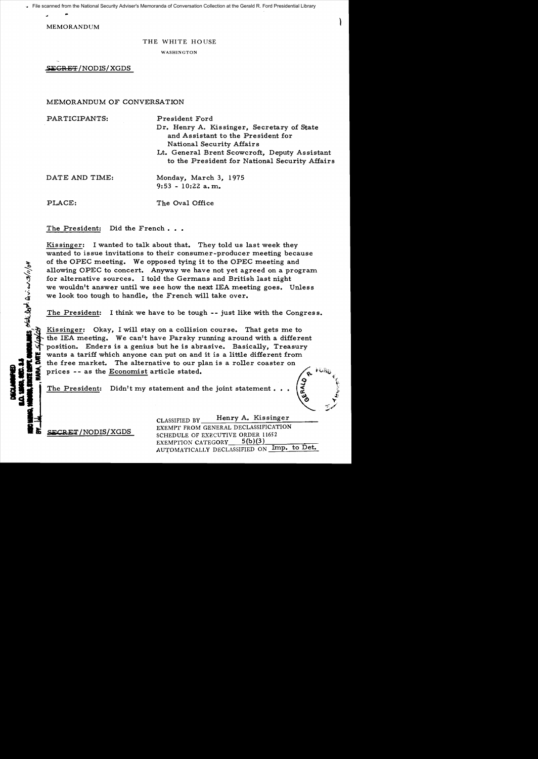File scanned from the National Security Adviser's Memoranda of Conversation Collection at the Gerald R. Ford Presidential Library

BS State Dept. Qui. en 3/11/04

MEMORANDUM

#### THE WHITE HOUSE

WASHINGTON

,SECRET!NODIS/XGDS

# MEMORANDUM OF CONVERSATION

| PARTICIPANTS:  | President Ford                                                                                                |
|----------------|---------------------------------------------------------------------------------------------------------------|
|                | Dr. Henry A. Kissinger, Secretary of State<br>and Assistant to the President for<br>National Security Affairs |
|                | Lt. General Brent Scowcroft, Deputy Assistant<br>to the President for National Security Affairs               |
| DATE AND TIME: | Monday, March 3, 1975<br>$9:53 - 10:22$ a.m.                                                                  |
| PLACE:         | The Oval Office                                                                                               |

The President: Did the French...

Kissinger: I wanted to talk about that. They told us last week they wanted to issue invitations to their consumer-producer meeting because of the OPEC meeting. We opposed tying it to the OPEC meeting and allowing OPEC to concert. Anyway we have not yet agreed on a program for alternative sources. I told the Germans and British last night we wouldn't answer until we see how the next IEA meeting goes. Unless we wouldn't answer until we see now the heat IEA ineeting goes. Oness<br>we look too tough to handle, the French will take over.<br>The President: I think we have to be tough -- just like with the Congress.

Kissinger: Okay, I will stay on a collision course. That gets me to the lEA meeting. We can't have Parsky running around with a different position. Enders is a genius but he is abrasive. Basically, Treasury The President: Didn't my statement and the joint statement... (

CLASSIFIED BY Henry A. Kissinger EXEMPT FROM GENERAL DECLASSIFICATION<br>
11652<br>
11652<br>
11652 EXEMPTION CATEGORY 5(b)(3) AUTOMATICALLY DECLASSIFIED ON Imp. to Det.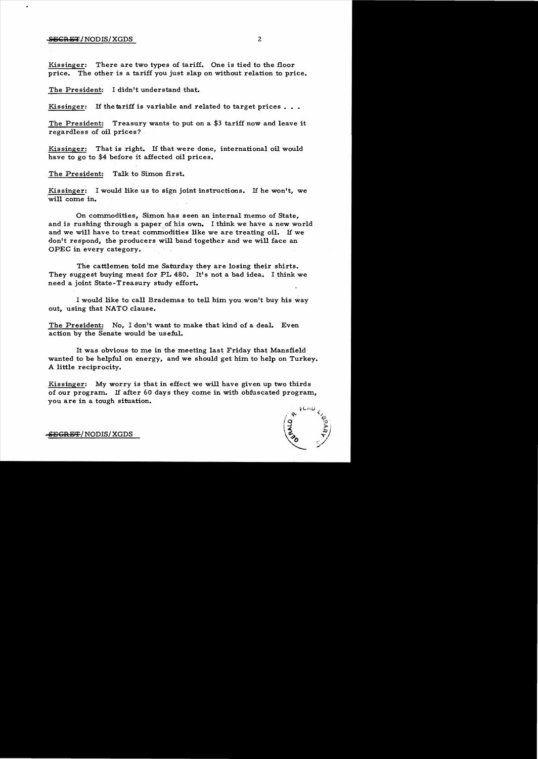## SEGRET/NODIS/XGDS 2

Kissinger: There are two types of tariff. One is tied to the floor price. The other is a tariff you just slap on without relation to price.

The President: I didn't understand that.

Kissinger: If the tariff is variable and related to target prices...

The President: Treasury wants to put on a \$3 tariff now and leave it regardless of oil prices?

Kissinger: That is right. If that were done, international oil would have to go to \$4 before it affected oil prices.

The President: Talk to Simon first.

Kissinger: I would like us to sign joint instructions. If he won't, we will come in.

On commodities, Simon has seen an internal memo of State, and is rushing through a paper of his own. I think we have a new world and we will have to treat commodities like we are treating oil. If we don't respond, the producers will band together and we will face an OPEC in every category.

The cattlemen told me Saturday they are losing their shirts. They suggest buying meat for PL 480. It's not a bad idea. I think we need a joint State-Treasury study effort.

I would like to call Brademas to tell him you won't buy his way out, using that NATO clause.

The President: No, I don't want to make that kind of a deal. Even action by the Senate would be useful.

It was obvious to me in the meeting last Friday that Mansfield wanted to be helpful on energy, and we should get him to help on Turkey. A little reciprocity.

Kissinger: My worry is that in effect we will have given up two thirds of our program. If after 60 days they come in with obfuscated program, you are in a tough situation.



-SEGRET/ NODIS/ XGDS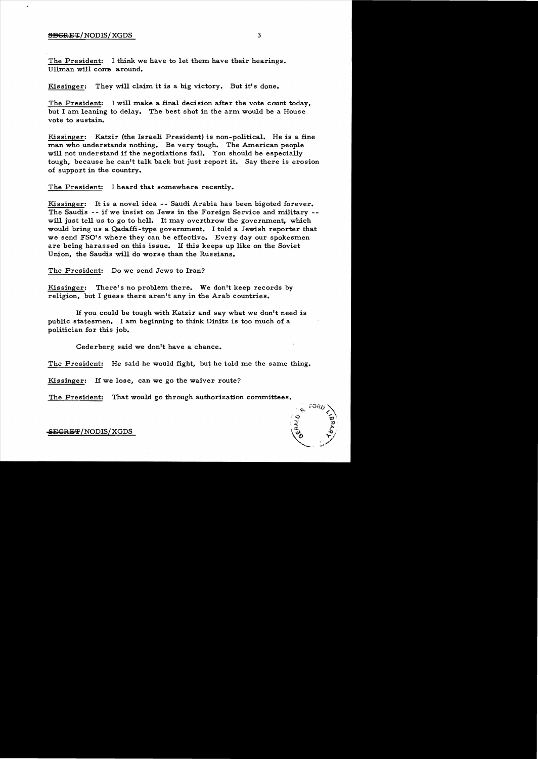### SBGRET/NODIS/XGDS 3

The President: I think we have to let them have their hearings. Ullman will come around.

#### Kissinger: They will claim it is a big victory. But it's done.

The President: I will make a final decision after the vote count today, but I am leaning to delay. The best shot in the arm would be a House vote to sustain.

Kissinger: Katzir (the Israeli President) is non-political. He is a fine man who understands nothing. Be very tough. The American people will not understand if the negotiations fail. You should be especially tough, because he can't talk back but just report it. Say there is erosion of support in the country.

The President: I heard that somewhere recently.

Kissinger: It is a novel idea -- Saudi Arabia has been bigoted forever. The Saudis -- if we insist on Jews in the Foreign Service and military will just tell us to go to hell. It may overthrow the government, which would bring us a Qadaffi-type government. I told a Jewish reporter that we send FSO's where they can be effective. Every day our spokesmen are being harassed on this issue. If this keeps up like on the Soviet Union, the Saudis will do worse than the Russians.

The President: Do we send Jews to Iran?

Kissinger: There's no problem there. We don't keep records by religion, but I guess there aren't any in the Arab countries.

If you could be tough with Katzir and say what we don't need is public statesmen. I am beginning to think Dinitz is too much of a politician for this job.

Cederberg said we don't have a chance.

The President: He said he would fight, but he told me the same thing.

Kissinger: If we lose, can we go the waiver route?

The President: That would go through authorization committees.



 ${\tt SEGREF/NODIS/XGDS}$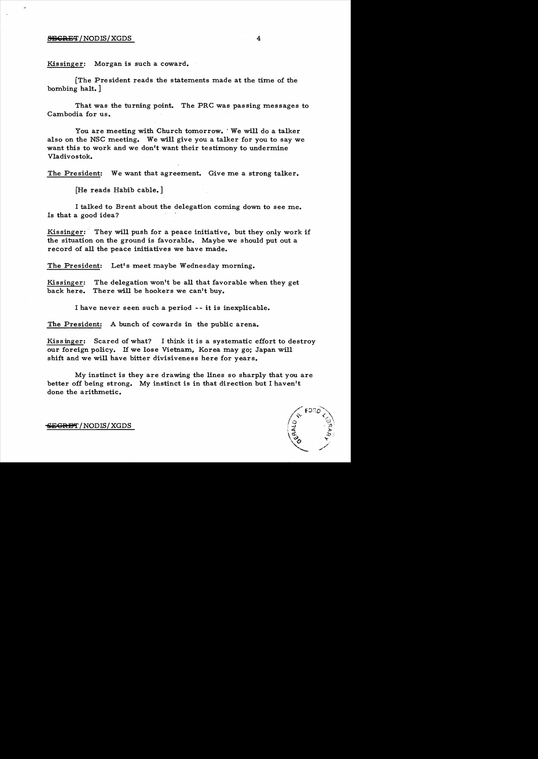## $S_{S}$  $S_{S}$  $S_{R}$  $S_{T}$  /NODIS/XGDS 4

Kissinger: Morgan is such a coward.

[The President reads the statements made at the time of the bombing halt. ]

That was the turning point. The PRC was passing messages to Cambodia for us.

You are meeting with Church tomorrow. ' We will do a talker also on the NSC meeting. We will give you a talker for you to say we want this to work and we don't want their testimony to undermine Vladivostok.

The President: We want that agreement. Give me a strong talker.

[He reads Habib cable.]

I talked to Brent about the delegation coming down to see me. Is that a good idea?

Kissinger: They will push for a peace initiative, but they only work if the situation on the ground is favorable. Maybe we should put out a record of all the peace initiatives we have made.

The President: Let's meet maybe Wednesday morning.

Kissinger: The delegation won't be all that favorable when they get back here. There will be hookers we can't buy.

I have never seen such a period -- it is inexplicable.

The President: A bunch of cowards in the public arena.

Kissinger: Scared of what? I think it is a systematic effort to destroy our foreign policy. If we lose Vietnam, Korea may go; Japan will shift and we will have bitter divisiveness here for years.

My instinct is they are drawing the lines so sharply that you are better off being strong. My instinct is in that direction but I haven't done the arithmetic.



~CRD'I' /NODIS/XGDS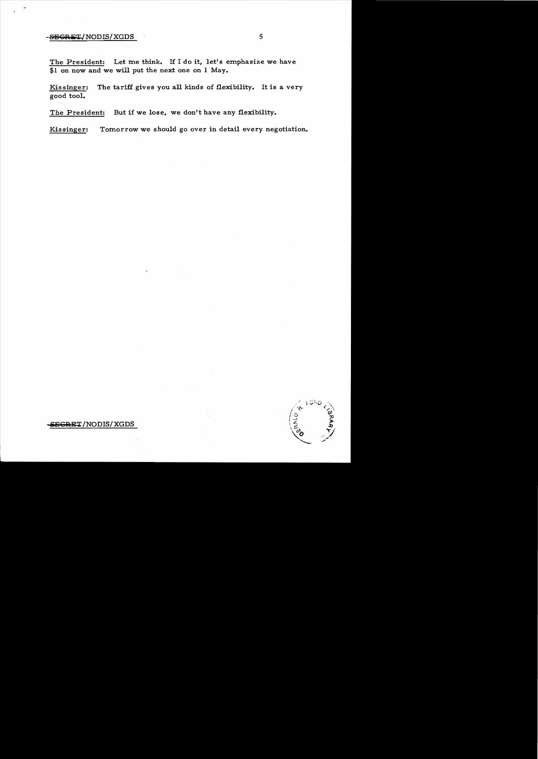# $-$ <del>SEGRET</del>/NODIS/XGDS 5

The President: Let me think. If I do it, let's emphasize we have \$1 on now and we will put the next one on 1 May.

Kissinger: The tariff gives you all kinds of flexibility. It is a very good tool.

The President: But if we lose, we don't have any flexibility.

Kissinger: Tomorrow we should go over in detail every negotiation.

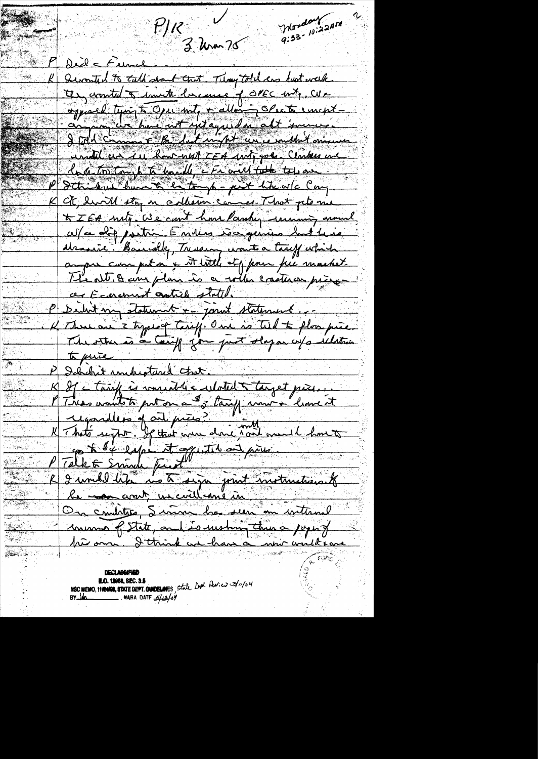Wordon Jann ビパー **START START** 3 Uran 75 Die cFunce Seconted to talk dont that. Thoughtell are last work an counted to invite la cause of OPEC with, We oppared typing to Open and + allowing Spector uncentundel ces sur how with TEA ANT goes. Clockes are <u> la de tos tom le té haville e Friand take tou au</u> Stricken hunt entough - pit the wic Cay Ct, enville stop en collection commes. That plane avec differentir Emma vouquois hut la je draine. Baccally, Tressing wants a tariff which a pre cur put n'y st title et pour pre mastet The alt of any plan is a with creature prince ar Economist autrele stated. P Deuts ma staturant + joint statement. K There are 3 types of Texiff. One is til & flow piec. The other is a tariff you just slap on w/s ilation to puis Debehit understand that. Il cérif is romand de culated à toujet prise. This would to put on a do tany univer limit P Tellet Small find and some. le comme avent un civil une me mettenne

NSC MEMO, 11104008, STATE DEPT. GUIDELINES, State Dr. Persies 3/1/04 **E.O. 13958, SEC. 3.5**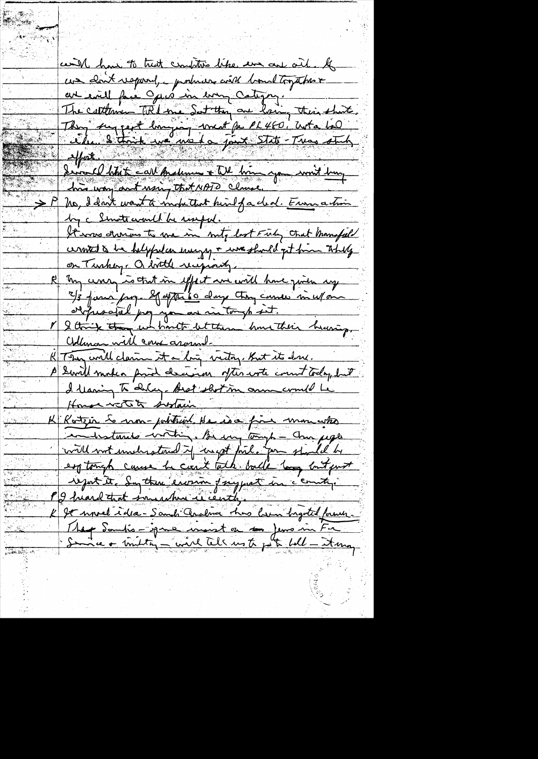cand have to trust comptors like and one oil. If une clout vaporal, produces coité boultogables au could face Opper im every Catigny. The cuttomen TRI me Set they are law, this short,<br>They support longing weat po PL460, with 100 affraction de toute de la comme de la forme de la forme de la forme de la forme de la forme de la forme de la<br>doit vous part nous tout MATO clause > P no, d dont want à inductent hine facted. Envir action by a Smotharmed be useful. It was drawing to me in nity last Fish that manifold cerented to be helpfelce energy + we should get from They on Turkey. a bottle receptanty. my consequent in effect are with home given any 2/3 janv page 20 après 60 days tron casser m'espan orquestal pay you are in tough set.<br>V 2 think there we hartt let these have their hearing. <u> Adman will cour around.</u> K They will claim it a ling victor, But it dru. P Swill makea prid decime ofter with count today but I Manin To Deluge Best shot in onne could be House water sustain K Rotzen to non-pointeint Ha is a fine monustres eg tough cause he can't talk ball long but put report it. En the environ fragment in c'enuty. Pg hiard that inneaching in centige K It would idea-Samch Cralma thus hem byted former. Meg Samtis-igne muist en 1eme in Fr<br>: Sinne + trutte, - wird tell us to pet fell - it en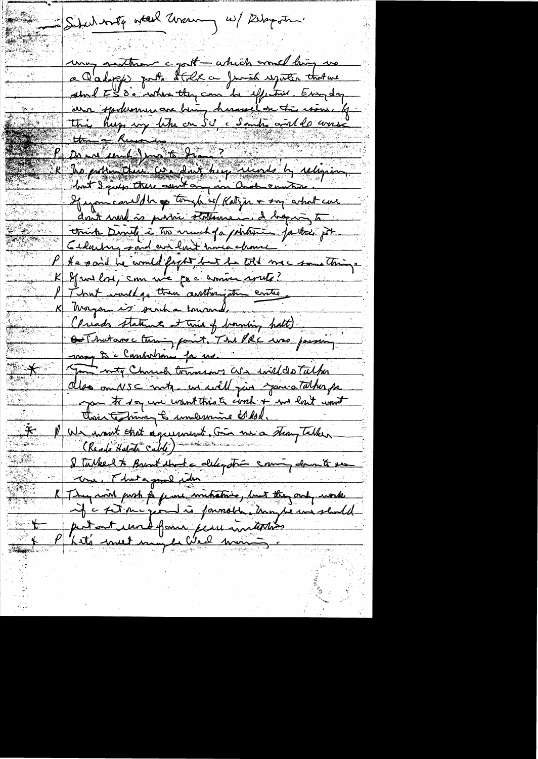Schul with a teel unaning w/ Delaystin. unay nothing copiet - which would living us a Calops pour d'Elle a Junior répartir that une avre spokemunare bien, humelantie issue qui than = "Russian De au come d'au 15 de mars Republic Comme Comme de la Comme de la réligion lout I quip true aunt any in and contra If informational din of tomos for with first a sing activity can don't med is possi statement d'hopis to trick Dinty i to much fa potention for the got Celaison said au finit une chance He said he would fight but he told mac something. K 29 m lors, comme que comme voute? That independent autoriste entre K Magam is surha concorde (Preads statements at this of bounding halt) Out hat are ching point. The PRC was passing mog to c Cambodrano for us. L moty Charles tomas are will do Tulka also omnes contre un will give you a talhor pa you to say une want this to conh + me lout wont This technical & unemine to lol. P We want that agreement. Gin me a strang Talken (Keads Hatate Cable) I Talked to Brant that a deligation coming down to see we Thatagood when K They wish push på femme unitative, but they only work if à set ou quoit is pouroire troupe un sent de